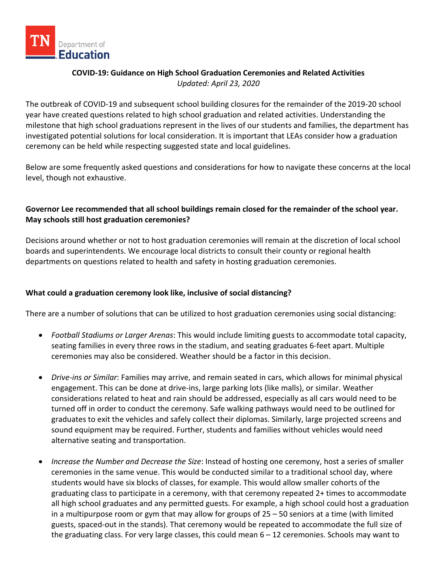

# **COVID-19: Guidance on High School Graduation Ceremonies and Related Activities** *Updated: April 23, 2020*

The outbreak of COVID-19 and subsequent school building closures for the remainder of the 2019-20 school year have created questions related to high school graduation and related activities. Understanding the milestone that high school graduations represent in the lives of our students and families, the department has investigated potential solutions for local consideration. It is important that LEAs consider how a graduation ceremony can be held while respecting suggested state and local guidelines.

Below are some frequently asked questions and considerations for how to navigate these concerns at the local level, though not exhaustive.

## **Governor Lee recommended that all school buildings remain closed for the remainder of the school year. May schools still host graduation ceremonies?**

Decisions around whether or not to host graduation ceremonies will remain at the discretion of local school boards and superintendents. We encourage local districts to consult their county or regional health departments on questions related to health and safety in hosting graduation ceremonies.

## **What could a graduation ceremony look like, inclusive of social distancing?**

There are a number of solutions that can be utilized to host graduation ceremonies using social distancing:

- *Football Stadiums or Larger Arenas*: This would include limiting guests to accommodate total capacity, seating families in every three rows in the stadium, and seating graduates 6-feet apart. Multiple ceremonies may also be considered. Weather should be a factor in this decision.
- *Drive-ins or Similar*: Families may arrive, and remain seated in cars, which allows for minimal physical engagement. This can be done at drive-ins, large parking lots (like malls), or similar. Weather considerations related to heat and rain should be addressed, especially as all cars would need to be turned off in order to conduct the ceremony. Safe walking pathways would need to be outlined for graduates to exit the vehicles and safely collect their diplomas. Similarly, large projected screens and sound equipment may be required. Further, students and families without vehicles would need alternative seating and transportation.
- *Increase the Number and Decrease the Size*: Instead of hosting one ceremony, host a series of smaller ceremonies in the same venue. This would be conducted similar to a traditional school day, where students would have six blocks of classes, for example. This would allow smaller cohorts of the graduating class to participate in a ceremony, with that ceremony repeated 2+ times to accommodate all high school graduates and any permitted guests. For example, a high school could host a graduation in a multipurpose room or gym that may allow for groups of 25 – 50 seniors at a time (with limited guests, spaced-out in the stands). That ceremony would be repeated to accommodate the full size of the graduating class. For very large classes, this could mean 6 – 12 ceremonies. Schools may want to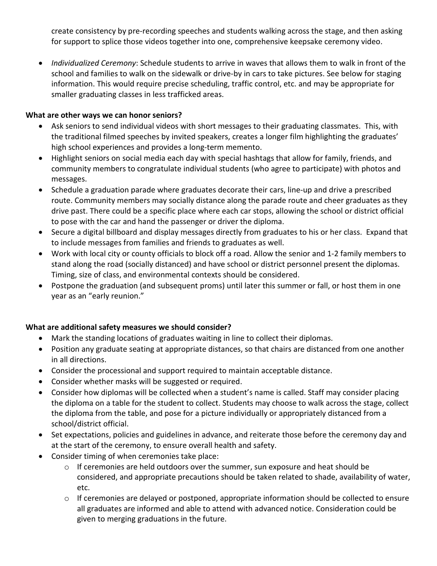create consistency by pre-recording speeches and students walking across the stage, and then asking for support to splice those videos together into one, comprehensive keepsake ceremony video.

• *Individualized Ceremony*: Schedule students to arrive in waves that allows them to walk in front of the school and families to walk on the sidewalk or drive-by in cars to take pictures. See below for staging information. This would require precise scheduling, traffic control, etc. and may be appropriate for smaller graduating classes in less trafficked areas.

#### **What are other ways we can honor seniors?**

- Ask seniors to send individual videos with short messages to their graduating classmates. This, with the traditional filmed speeches by invited speakers, creates a longer film highlighting the graduates' high school experiences and provides a long-term memento.
- Highlight seniors on social media each day with special hashtags that allow for family, friends, and community members to congratulate individual students (who agree to participate) with photos and messages.
- Schedule a graduation parade where graduates decorate their cars, line-up and drive a prescribed route. Community members may socially distance along the parade route and cheer graduates as they drive past. There could be a specific place where each car stops, allowing the school or district official to pose with the car and hand the passenger or driver the diploma.
- Secure a digital billboard and display messages directly from graduates to his or her class. Expand that to include messages from families and friends to graduates as well.
- Work with local city or county officials to block off a road. Allow the senior and 1-2 family members to stand along the road (socially distanced) and have school or district personnel present the diplomas. Timing, size of class, and environmental contexts should be considered.
- Postpone the graduation (and subsequent proms) until later this summer or fall, or host them in one year as an "early reunion."

## **What are additional safety measures we should consider?**

- Mark the standing locations of graduates waiting in line to collect their diplomas.
- Position any graduate seating at appropriate distances, so that chairs are distanced from one another in all directions.
- Consider the processional and support required to maintain acceptable distance.
- Consider whether masks will be suggested or required.
- Consider how diplomas will be collected when a student's name is called. Staff may consider placing the diploma on a table for the student to collect. Students may choose to walk across the stage, collect the diploma from the table, and pose for a picture individually or appropriately distanced from a school/district official.
- Set expectations, policies and guidelines in advance, and reiterate those before the ceremony day and at the start of the ceremony, to ensure overall health and safety.
- Consider timing of when ceremonies take place:
	- $\circ$  If ceremonies are held outdoors over the summer, sun exposure and heat should be considered, and appropriate precautions should be taken related to shade, availability of water, etc.
	- $\circ$  If ceremonies are delayed or postponed, appropriate information should be collected to ensure all graduates are informed and able to attend with advanced notice. Consideration could be given to merging graduations in the future.